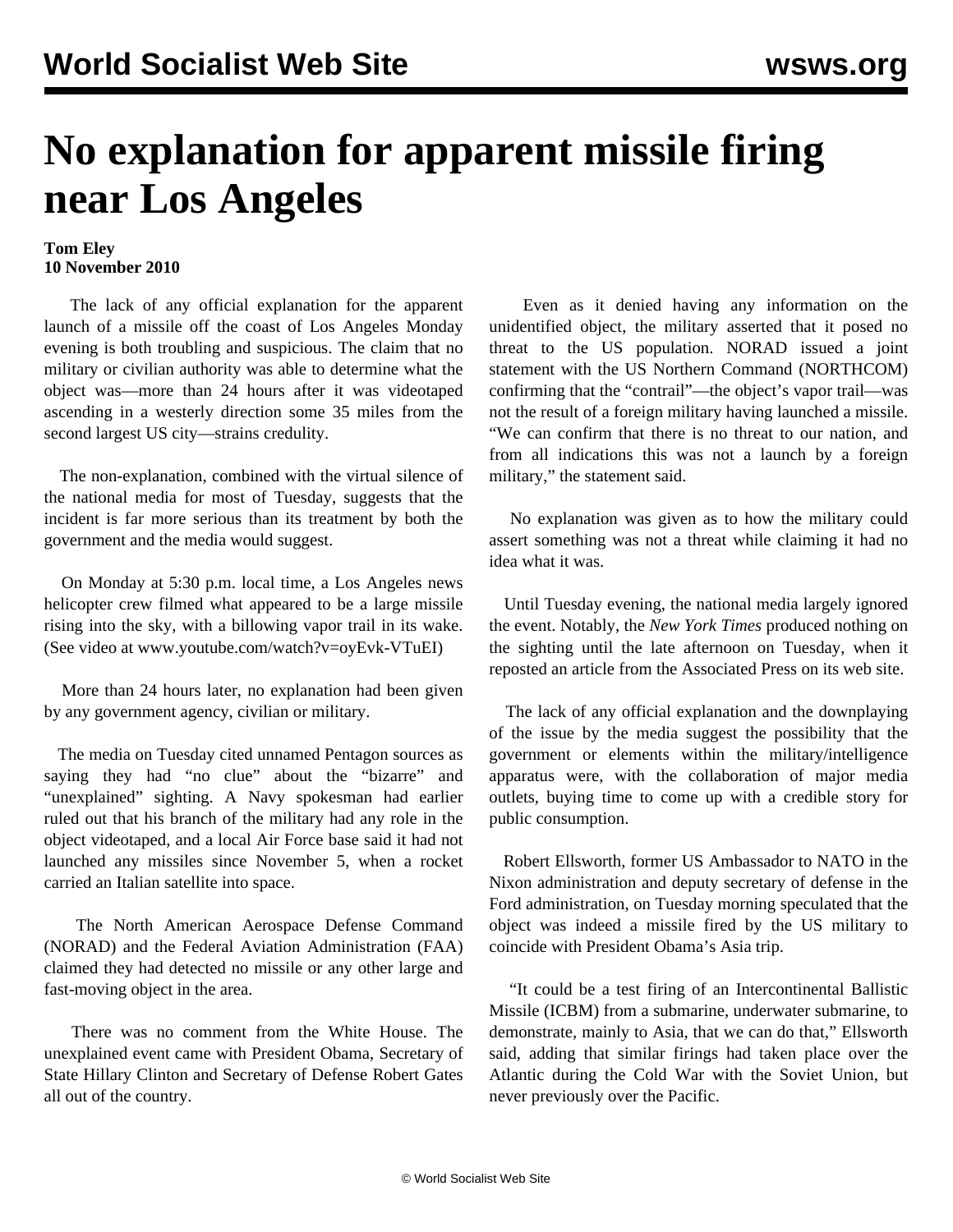## **No explanation for apparent missile firing near Los Angeles**

## **Tom Eley 10 November 2010**

 The lack of any official explanation for the apparent launch of a missile off the coast of Los Angeles Monday evening is both troubling and suspicious. The claim that no military or civilian authority was able to determine what the object was—more than 24 hours after it was videotaped ascending in a westerly direction some 35 miles from the second largest US city—strains credulity.

 The non-explanation, combined with the virtual silence of the national media for most of Tuesday, suggests that the incident is far more serious than its treatment by both the government and the media would suggest.

 On Monday at 5:30 p.m. local time, a Los Angeles news helicopter crew filmed what appeared to be a large missile rising into the sky, with a billowing vapor trail in its wake. (See video at [www.youtube.com/watch?v=oyEvk-VTuEI](http://www.youtube.com/watch?v=oyEvk-VTuEI))

 More than 24 hours later, no explanation had been given by any government agency, civilian or military.

 The media on Tuesday cited unnamed Pentagon sources as saying they had "no clue" about the "bizarre" and "unexplained" sighting. A Navy spokesman had earlier ruled out that his branch of the military had any role in the object videotaped, and a local Air Force base said it had not launched any missiles since November 5, when a rocket carried an Italian satellite into space.

 The North American Aerospace Defense Command (NORAD) and the Federal Aviation Administration (FAA) claimed they had detected no missile or any other large and fast-moving object in the area.

 There was no comment from the White House. The unexplained event came with President Obama, Secretary of State Hillary Clinton and Secretary of Defense Robert Gates all out of the country.

 Even as it denied having any information on the unidentified object, the military asserted that it posed no threat to the US population. NORAD issued a joint statement with the US Northern Command (NORTHCOM) confirming that the "contrail"—the object's vapor trail—was not the result of a foreign military having launched a missile. "We can confirm that there is no threat to our nation, and from all indications this was not a launch by a foreign military," the statement said.

 No explanation was given as to how the military could assert something was not a threat while claiming it had no idea what it was.

 Until Tuesday evening, the national media largely ignored the event. Notably, the *New York Times* produced nothing on the sighting until the late afternoon on Tuesday, when it reposted an article from the Associated Press on its web site.

 The lack of any official explanation and the downplaying of the issue by the media suggest the possibility that the government or elements within the military/intelligence apparatus were, with the collaboration of major media outlets, buying time to come up with a credible story for public consumption.

 Robert Ellsworth, former US Ambassador to NATO in the Nixon administration and deputy secretary of defense in the Ford administration, on Tuesday morning speculated that the object was indeed a missile fired by the US military to coincide with President Obama's Asia trip.

 "It could be a test firing of an Intercontinental Ballistic Missile (ICBM) from a submarine, underwater submarine, to demonstrate, mainly to Asia, that we can do that," Ellsworth said, adding that similar firings had taken place over the Atlantic during the Cold War with the Soviet Union, but never previously over the Pacific.